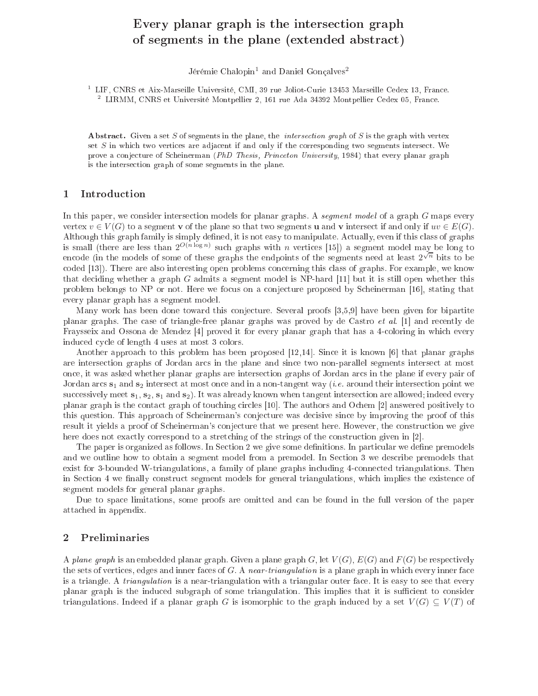# Every planar graph is the interse
tion graph of segments in the plane (extended abstra
t)

Jérémie Chalopin<sup>1</sup> and Daniel Gonçalves<sup>2</sup>

<sup>1</sup> LIF, CNRS et Aix-Marseille Université, CMI, 39 rue Joliot-Curie 13453 Marseille Cedex 13, France. 2 LIRMM, CNRS et Université Montpellier 2, 161 rue Ada 34392 Montpellier Cedex 05, Fran
e.

Abstract. Given a set S of segments in the plane, the *intersection graph* of S is the graph with vertex set S in whi
h two verti
es are adja
ent if and only if the orresponding two segments interse
t. We prove a conjecture of Scheinerman (PhD Thesis, Princeton University, 1984) that every planar graph is the interse
tion graph of some segments in the plane.

### 1**Introduction**

In this paper, we consider intersection models for planar graphs. A segment model of a graph G maps every vertex  $v \in V(G)$  to a segment v of the plane so that two segments u and v intersect if and only if  $uv \in E(G)$ . Although this graph family is simply defined, it is not easy to manipulate. Actually, even if this class of graphs is small (there are less than  $2^{O(n \log n)}$  such graphs with n vertices [15]) a segment model may be long to encode (in the models of some of these graphs the endpoints of the segments need at least  $2^{\sqrt{n}}$  bits to be coded [13]). There are also interesting open problems concerning this class of graphs. For example, we know that deciding whether a graph  $G$  admits a segment model is NP-hard [11] but it is still open whether this problem belongs to NP or not. Here we focus on a conjecture proposed by Scheinerman [16], stating that every planar graph has a segment model.

Many work has been done toward this conjecture. Several proofs [3,5,9] have been given for bipartite planar graphs. The case of triangle-free planar graphs was proved by de Castro *et al.* [1] and recently de Fraysseix and Ossona de Mendez [4] proved it for every planar graph that has a 4-coloring in which every induced cycle of length 4 uses at most 3 colors.

Another approach to this problem has been proposed  $[12,14]$ . Since it is known [6] that planar graphs are interse
tion graphs of Jordan ar
s in the plane and sin
e two non-parallel segments interse
t at most on
e, it was asked whether planar graphs are interse
tion graphs of Jordan ar
s in the plane if every pair of Jordan arcs  $s_1$  and  $s_2$  intersect at most once and in a non-tangent way (*i.e.* around their intersection point we successively meet  $s_1, s_2, s_1$  and  $s_2$ ). It was already known when tangent intersection are allowed; indeed every planar graph is the contact graph of touching circles [10]. The authors and Ochem [2] answered positively to this question. This approach of Scheinerman's conjecture was decisive since by improving the proof of this result it yields a proof of Scheinerman's conjecture that we present here. However, the construction we give here does not exactly correspond to a stretching of the strings of the construction given in [2].

The paper is organized as follows. In Section 2 we give some definitions. In particular we define premodels and we outline how to obtain a segment model from a premodel. In Section 3 we describe premodels that exist for 3-bounded W-triangulations, a family of plane graphs including 4-connected triangulations. Then in Section 4 we finally construct segment models for general triangulations, which implies the existence of segment models for general planar graphs.

Due to space limitations, some proofs are omitted and can be found in the full version of the paper atta
hed in appendix.

### Preliminaries  $\mathbf{2}$

A plane graph is an embedded planar graph. Given a plane graph G, let  $V(G)$ ,  $E(G)$  and  $F(G)$  be respectively the sets of vertices, edges and inner faces of  $G$ . A near-triangulation is a plane graph in which every inner face is a triangle. A *triangulation* is a near-triangulation with a triangular outer face. It is easy to see that every planar graph is the induced subgraph of some triangulation. This implies that it is sufficient to consider triangulations. Indeed if a planar graph G is isomorphic to the graph induced by a set  $V(G) \subseteq V(T)$  of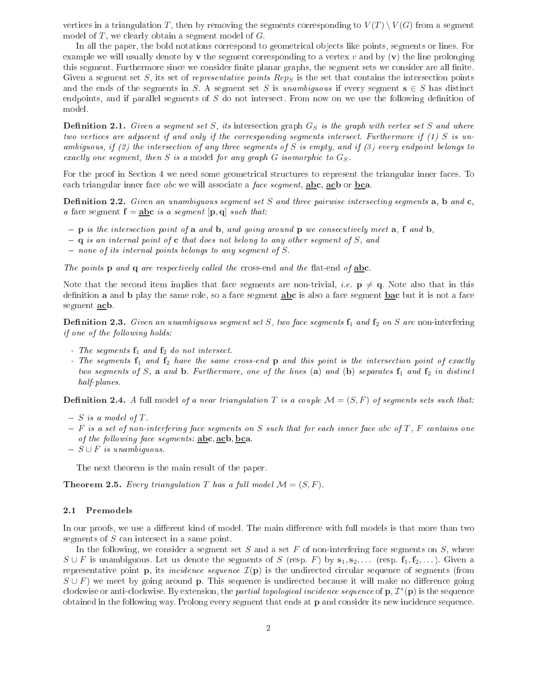vertices in a triangulation T, then by removing the segments corresponding to  $V(T) \setminus V(G)$  from a segment model of  $T$ , we clearly obtain a segment model of  $G$ .

In all the paper, the bold notations correspond to geometrical objects like points, segments or lines. For example we will usually denote by  $\bf{v}$  the segment corresponding to a vertex v and by  $(\bf{v})$  the line prolonging this segment. Furthermore since we consider finite planar graphs, the segment sets we consider are all finite. Given a segment set  $S$ , its set of *representative points Rep<sub>S</sub>* is the set that contains the intersection points and the ends of the segments in S. A segment set S is unambiguous if every segment  $s \in S$  has distinct endpoints, and if parallel segments of  $S$  do not intersect. From now on we use the following definition of model.

**Definition 2.1.** Given a segment set S, its intersection graph  $G_S$  is the graph with vertex set S and where two vertices are adjacent if and only if the corresponding segments intersect. Furthermore if (1) S is unambiguous, if (2) the intersection of any three segments of S is empty, and if (3) every endpoint belongs to exactly one segment, then S is a model for any graph  $G$  isomorphic to  $G_S$ .

For the proof in Section 4 we need some geometrical structures to represent the triangular inner faces. To each triangular inner face abc we will associate a face segment, abc, ach or bca.

**Definition 2.2.** Given an unambiguous segment set S and three pairwise intersecting segments  $a$ ,  $b$  and  $c$ , a face segment  $\mathbf{f} = \mathbf{a} \mathbf{b} \mathbf{c}$  is a segment  $[\mathbf{p}, \mathbf{q}]$  such that:

- $\mathbf{p}$  is the intersection point of a and b, and going around  $\mathbf{p}$  we consecutively meet a, f and b,
- $q q$  is an internal point of c that does not belong to any other segment of S, and
- $\overline{\phantom{a}}$  none of its internal points belongs to any segment of S.

The points  $p$  and  $q$  are respectively called the cross-end and the flat-end of abc.

Note that the second item implies that face segments are non-trivial, *i.e.*  $p \neq q$ . Note also that in this definition **a** and **b** play the same role, so a face segment **abc** is also a face segment **bac** but it is not a face segment acb.

**Definition 2.3.** Given an unambiguous segment set S, two face segments  $\mathbf{f}_1$  and  $\mathbf{f}_2$  on S are non-interfering if one of the following holds:

- The segments  $f_1$  and  $f_2$  do not intersect.
- The segments  $f_1$  and  $f_2$  have the same cross-end  $p$  and this point is the intersection point of exactly two segments of S, a and b. Furthermore, one of the lines (a) and (b) separates  $f_1$  and  $f_2$  in distinct half-planes.

**Definition 2.4.** A full model of a near triangulation T is a couple  $\mathcal{M} = (S, F)$  of segments sets such that:

- $S$  is a model of T.
- $-F$  is a set of non-interfering face segments on S such that for each inner face abc of T, F contains one of the following face segments:  $abc$ ,  $acb$ ,  $bca$ .
- $S \cup F$  is unambiguous.

The next theorem is the main result of the paper.

**Theorem 2.5.** Every triangulation T has a full model  $\mathcal{M} = (S, F)$ .

### 2.1 Premodels

In our proofs, we use a different kind of model. The main difference with full models is that more than two segments of  $S$  can intersect in a same point.

In the following, we consider a segment set  $S$  and a set  $F$  of non-interfering face segments on  $S$ , where  $S \cup F$  is unambiguous. Let us denote the segments of S (resp. F) by  $s_1, s_2, \ldots$  (resp.  $f_1, f_2, \ldots$ ). Given a representative point **p**, its *incidence sequence*  $\mathcal{I}(\mathbf{p})$  is the undirected circular sequence of segments (from  $S \cup F$ ) we meet by going around **p**. This sequence is undirected because it will make no difference going clockwise or anti-clockwise. By extension, the *partial topological incidence sequence* of  ${\bf p},$   ${\cal I}^*({\bf p})$  is the sequence obtained in the following way. Prolong every segment that ends at **p** and consider its new incidence sequence.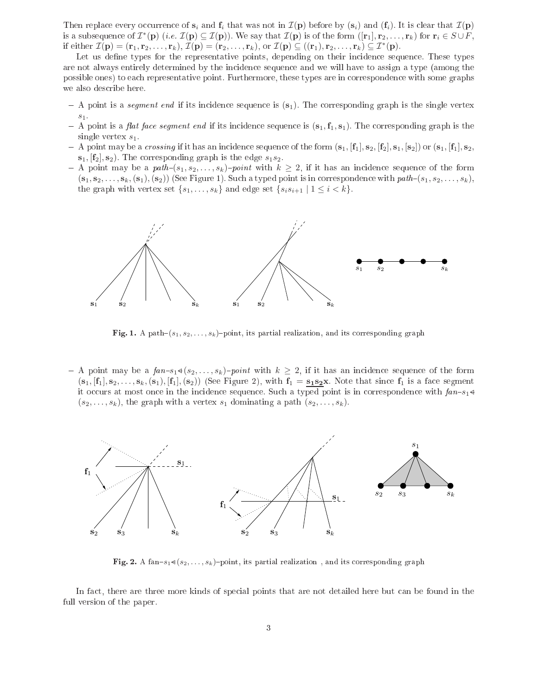Then replace every occurrence of  $s_i$  and  $f_i$  that was not in  $\mathcal{I}(\mathbf{p})$  before by  $(s_i)$  and  $(f_i)$ . It is clear that  $\mathcal{I}(\mathbf{p})$ is a subsequence of  $\mathcal{I}^*(\mathbf{p})$  (i.e.  $\mathcal{I}(\mathbf{p})\subseteq\mathcal{I}(\mathbf{p})$ ). We say that  $\mathcal{I}(\mathbf{p})$  is of the form  $([\mathbf{r}_1],\mathbf{r}_2,\ldots,\mathbf{r}_k)$  for  $\mathbf{r}_i\in S\cup F,$ if either  $\mathcal{I}(\mathbf{p}) = (\mathbf{r}_1, \mathbf{r}_2, \dots, \mathbf{r}_k), \, \mathcal{I}(\mathbf{p}) = (\mathbf{r}_2, \dots, \mathbf{r}_k), \text{ or } \mathcal{I}(\mathbf{p}) \subseteq ((\mathbf{r}_1), \mathbf{r}_2, \dots, \mathbf{r}_k) \subseteq \mathcal{I}^*(\mathbf{p}).$ 

Let us define types for the representative points, depending on their incidence sequence. These types are not always entirely determined by the in
iden
e sequen
e and we will have to assign a type (among the possible ones) to ea
h representative point. Furthermore, these types are in orresponden
e with some graphs we also des
ribe here.

- $-$  A point is a *segment end* if its incidence sequence is  $(s_1)$ . The corresponding graph is the single vertex  $s_1.$
- A point is a *flat face segment end* if its incidence sequence is  $(s_1, f_1, s_1)$ . The corresponding graph is the single vertex  $s_1$ .
- A point may be a *crossing* if it has an incidence sequence of the form  $(s_1, [f_1], s_2, [f_2], s_1, [s_2])$  or  $(s_1, [f_1], s_2,$  $\mathbf{s}_1$ ,  $[\mathbf{f}_2], \mathbf{s}_2$ . The corresponding graph is the edge  $s_1s_2$ .
- A point may be a path $-(s_1, s_2, \ldots, s_k)$ -point with  $k \geq 2$ , if it has an incidence sequence of the form  $(s_1, s_2, \ldots, s_k, (s_1), (s_2))$  (See Figure 1). Such a typed point is in correspondence with  $path-(s_1, s_2, \ldots, s_k)$ , the graph with vertex set  $\{s_1, \ldots, s_k\}$  and edge set  $\{s_is_{i+1} | 1 \leq i < k\}$ .



Fig. 1. A path $-(s_1, s_2, \ldots, s_k)$ -point, its partial realization, and its corresponding graph

- A point may be a  $fan-s_1\triangleleft(s_2,\ldots,s_k)$ -point with  $k\geq 2$ , if it has an incidence sequence of the form  $(s_1, [f_1], s_2, \ldots, s_k, (s_1), [f_1], (s_2))$  (See Figure 2), with  $f_1 = s_1 s_2 x$ . Note that since  $f_1$  is a face segment it occurs at most once in the incidence sequence. Such a typed point is in correspondence with  $fan-s_1 \triangleleft$  $(s_2, \ldots, s_k)$ , the graph with a vertex  $s_1$  dominating a path  $(s_2, \ldots, s_k)$ .



Fig. 2. A fan-s<sub>1</sub>  $(s_2, \ldots, s_k)$ -point, its partial realization, and its corresponding graph

In fact, there are three more kinds of special points that are not detailed here but can be found in the full version of the paper.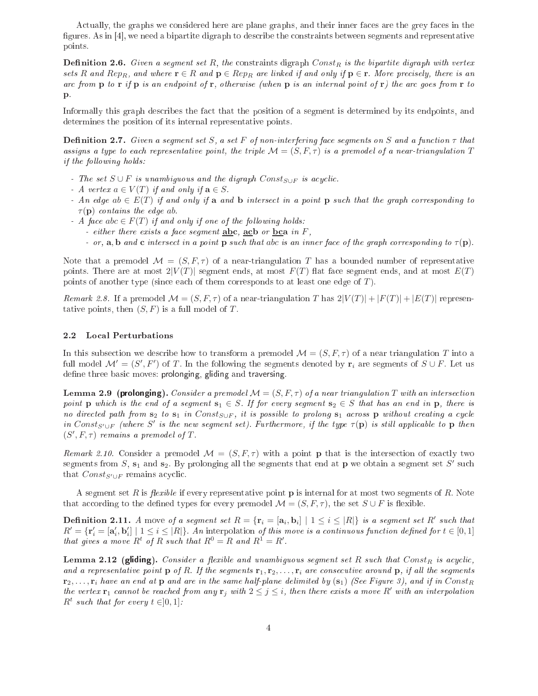Actually, the graphs we considered here are plane graphs, and their inner faces are the grey faces in the figures. As in [4], we need a bipartite digraph to describe the constraints between segments and representative points.

**Definition 2.6.** Given a segment set R, the constraints digraph Const<sub>R</sub> is the bipartite digraph with vertex sets R and Rep<sub>R</sub>, and where  $\mathbf{r} \in R$  and  $\mathbf{p} \in Rep_R$  are linked if and only if  $\mathbf{p} \in \mathbf{r}$ . More precisely, there is an are from  $\bf{p}$  to  $\bf{r}$  if  $\bf{p}$  is an endpoint of  $\bf{r}$ , otherwise (when  $\bf{p}$  is an internal point of  $\bf{r}$ ) the are goes from  $\bf{r}$  to p.

Informally this graph describes the fact that the position of a segment is determined by its endpoints, and determines the position of its internal representative points.

**Definition 2.7.** Given a segment set S, a set F of non-interfering face segments on S and a function  $\tau$  that assigns a type to each representative point, the triple  $\mathcal{M} = (S, F, \tau)$  is a premodel of a near-triangulation T if the following holds:

- The set  $S \cup F$  is unambiguous and the digraph  $Const_{S \cup F}$  is acyclic.
- A vertex  $a \in V(T)$  if and only if  $\mathbf{a} \in S$ .
- An edge ab  $\in E(T)$  if and only if a and b intersect in a point p such that the graph corresponding to  $\tau(\mathbf{p})$  contains the edge ab.
- A face abc  $\in F(T)$  if and only if one of the following holds:
	- either there exists a face segment  $abc$ ,  $acb$  or  $bca$  in  $F$ ,
	- or, a, b and c intersect in a point p such that abc is an inner face of the graph corresponding to  $\tau(\mathbf{p})$ .

Note that a premodel  $\mathcal{M} = (S, F, \tau)$  of a near-triangulation T has a bounded number of representative points. There are at most  $2|V(T)|$  segment ends, at most  $F(T)$  flat face segment ends, and at most  $E(T)$ points of another type (since each of them corresponds to at least one edge of  $T$ ).

Remark 2.8. If a premodel  $\mathcal{M} = (S, F, \tau)$  of a near-triangulation T has  $2|V(T)| + |F(T)| + |E(T)|$  representative points, then  $(S, F)$  is a full model of T.

### 2.2 Lo
al Perturbations

In this subsection we describe how to transform a premodel  $\mathcal{M} = (S, F, \tau)$  of a near triangulation T into a full model  $\mathcal{M}'=(S',F')$  of  $T.$  In the following the segments denoted by  $\mathbf{r}_i$  are segments of  $S\cup F.$  Let us define three basic moves: prolonging, gliding and traversing.

**Lemma 2.9 (prolonging).** Consider a premodel  $\mathcal{M} = (S, F, \tau)$  of a near triangulation T with an intersection point **p** which is the end of a segment  $s_1 \in S$ . If for every segment  $s_2 \in S$  that has an end in **p**, there is no directed path from  $s_2$  to  $s_1$  in Const<sub>S∪F</sub>, it is possible to prolong  $s_1$  across p without creating a cycle in Const<sub>S'∪F</sub> (where S' is the new segment set). Furthermore, if the type  $\tau(\mathbf{p})$  is still applicable to  $\mathbf{p}$  then  $(S', F, \tau)$  remains a premodel of T.

Remark 2.10. Consider a premodel  $\mathcal{M} = (S, F, \tau)$  with a point **p** that is the intersection of exactly two segments from  $S$ ,  $\mathbf{s}_1$  and  $\mathbf{s}_2$ . By prolonging all the segments that end at  $\mathbf{p}$  we obtain a segment set  $S'$  such that  $Const_{S' \cup F}$  remains acyclic.

A segment set R is *flexible* if every representative point  $\bf{p}$  is internal for at most two segments of R. Note that according to the defined types for every premodel  $\mathcal{M} = (S, F, \tau)$ , the set  $S \cup F$  is flexible.

**Definition 2.11.** A move of a segment set  $R = \{\mathbf{r}_i = [\mathbf{a}_i, \mathbf{b}_i] \mid 1 \leq i \leq |R|\}$  is a segment set  $R'$  such that  $R' = \{ \mathbf{r}'_i = [\mathbf{a}'_i, \mathbf{b}'_i] \mid 1 \leq i \leq |R| \}$ . An interpolation of this move is a continuous function defined for  $t \in [0,1]$ that gives a move  $R^t$  of R such that  $R^0 = R$  and  $R^1 = R'$ .

Lemma 2.12 (gliding). Consider a flexible and unambiguous segment set R such that  $Const_R$  is acyclic, and a representative point **p** of R. If the segments  $\mathbf{r}_1, \mathbf{r}_2, \ldots, \mathbf{r}_i$  are consecutive around **p**, if all the segments  $\mathbf{r}_2, \ldots, \mathbf{r}_i$  have an end at  $\mathbf{p}$  and are in the same half-plane delimited by  $(\mathbf{s}_1)$  (See Figure 3), and if in Const $\mathbf{r}_i$ the vertex  $\mathbf{r}_1$  cannot be reached from any  $\mathbf{r}_j$  with  $2 \leq j \leq i$ , then there exists a move R' with an interpolation  $R^t$  such that for every  $t \in ]0,1]$ :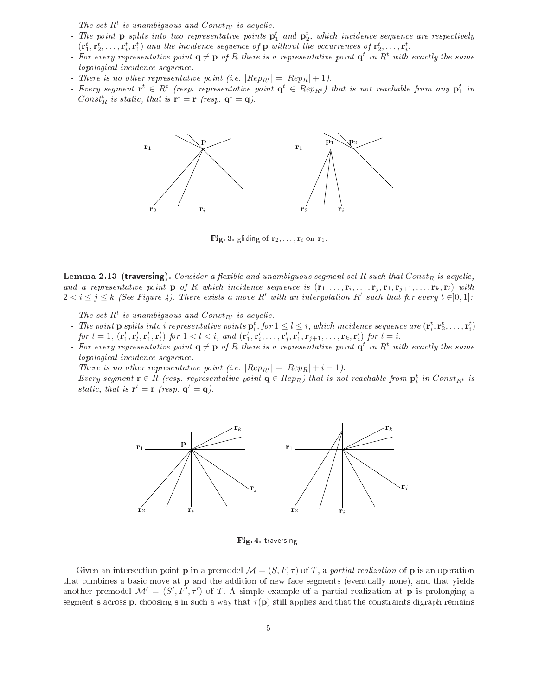- The set  $R^t$  is unambiguous and  $Const_{R^t}$  is acyclic.
- The point  $p$  splits into two representative points  $p_1^t$  and  $p_2^t$ , which incidence sequence are respectively  $(\mathbf{r}_1^t, \mathbf{r}_2^t, \ldots, \mathbf{r}_i^t, \mathbf{r}_1^t)$  and the incidence sequence of **p** without the occurrences of  $\mathbf{r}_2^t, \ldots, \mathbf{r}_i^t$ .
- For every representative point  $\mathbf{q} \neq \mathbf{p}$  of R there is a representative point  $\mathbf{q}^t$  in  $R^t$  with exactly the same topological incidence sequence.
- There is no other representative point (i.e.  $|Rep_{R^t}| = |Rep_R| + 1$ ).
- Every segment  $\mathbf{r}^t \in R^t$  (resp. representative point  $\mathbf{q}^t \in Rep_{R^t})$  that is not reachable from any  $\mathbf{p}_1^t$  in Const<sup>t</sup><sub>R</sub> is static, that is  $\mathbf{r}^t = \mathbf{r}$  (resp.  $\mathbf{q}^t = \mathbf{q}$ ).



Fig. 3. gliding of  $r_2, \ldots, r_i$  on  $r_1$ .

**Lemma 2.13 (traversing).** Consider a flexible and unambiguous segment set R such that  $Const_R$  is acyclic, and a representative point  $p$  of R which incidence sequence is  $(r_1,\ldots,r_i,\ldots,r_j,r_1,r_{j+1},\ldots,r_k,r_i)$  with  $2 < i \leq j \leq k$  (See Figure 4). There exists a move R' with an interpolation R<sup>t</sup> such that for every  $t \in ]0,1]$ .

- The set  $R^t$  is unambiguous and  $Const_{R^t}$  is acyclic.
- For  $1 \leq l \leq i$ , which incidence sequence are  $(\mathbf{r}_i^t, \mathbf{r}_2^t, \dots, \mathbf{r}_i^t)$  $for l = 1, (\mathbf{r}_1^t, \mathbf{r}_1^t, \mathbf{r}_1^t, \mathbf{r}_l^t) \text{ for } 1 < l < i, \text{ and } (\mathbf{r}_1^t, \mathbf{r}_i^t, \ldots, \mathbf{r}_j^t, \mathbf{r}_1^t, \mathbf{r}_{j+1}, \ldots, \mathbf{r}_k, \mathbf{r}_i^t) \text{ for } l = i.$
- For every representative point  $q \neq p$  of R there is a representative point  $q^t$  in  $R^t$  with exactly the same topological incidence sequence.
- There is no other representative point (i.e.  $|Rep_{R^t}| = |Rep_R| + i 1$ ).
- Every segment  $\mathbf{r} \in R$  (resp. representative point  $\mathbf{q} \in Rep_R$ ) that is not reachable from  $\mathbf{p}_i^t$  in  $Const_{R^t}$  is static, that is  $\mathbf{r}^t = \mathbf{r}$  (resp.  $\mathbf{q}^t = \mathbf{q}$ ).



Fig. 4. traversing

Given an intersection point **p** in a premodel  $\mathcal{M} = (S, F, \tau)$  of T, a *partial realization* of **p** is an operation that ombines a basi move at p and the addition of new fa
e segments (eventually none), and that yields another premodel  $\mathcal{M}' = (S', F', \tau')$  of T. A simple example of a partial realization at p is prolonging a segment s across p, choosing s in such a way that  $\tau(\mathbf{p})$  still applies and that the constraints digraph remains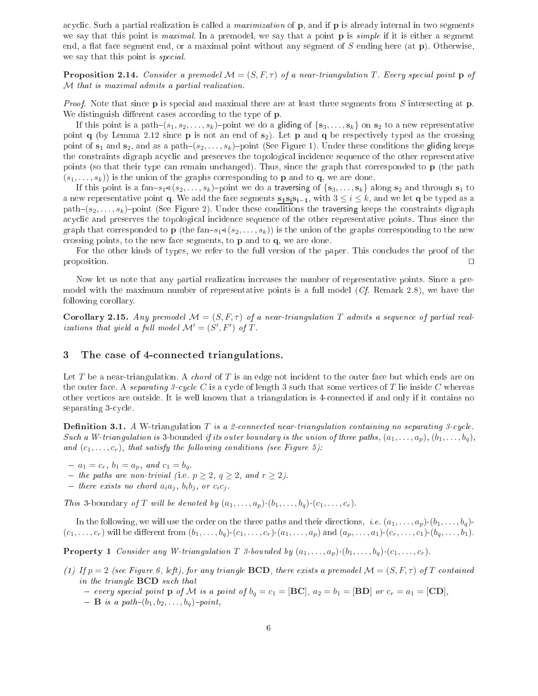acyclic. Such a partial realization is called a *maximization* of p, and if p is already internal in two segments we say that this point is maximal. In a premodel, we say that a point  $\bf{p}$  is simple if it is either a segment end, a flat face segment end, or a maximal point without any segment of  $S$  ending here (at  $\bf{p}$ ). Otherwise, we say that this point is *special*.

**Proposition 2.14.** Consider a premodel  $\mathcal{M} = (S, F, \tau)$  of a near-triangulation T. Every special point p of M that is maximal admits a partial realization.

Proof. Note that since **p** is special and maximal there are at least three segments from S intersecting at **p**. We distinguish different cases according to the type of p.

If this point is a path- $(s_1, s_2, \ldots, s_k)$ -point we do a gliding of  $\{s_3, \ldots, s_k\}$  on  $s_2$  to a new representative point q (by Lemma 2.12 since  $\bf{p}$  is not an end of  $\bf{s}_2$ ). Let  $\bf{p}$  and  $\bf{q}$  be respectively typed as the crossing point of  $s_1$  and  $s_2$ , and as a path $(s_2, \ldots, s_k)$ -point (See Figure 1). Under these conditions the gliding keeps the onstraints digraph a
y
li and preserves the topologi
al in
iden
e sequen
e of the other representative points (so that their type can remain unchanged). Thus, since the graph that corresponded to **p** (the path  $(s_1, \ldots, s_k)$  is the union of the graphs corresponding to **p** and to **q**, we are done.

If this point is a fan- $s_1 \triangleleft (s_2, \ldots, s_k)$ -point we do a traversing of  $\{s_3, \ldots, s_k\}$  along  $s_2$  and through  $s_1$  to a new representative point q. We add the face segments  $s_1s_is_{i-1}$ , with  $3 \le i \le k$ , and we let q be typed as a path– $(s_2, \ldots, s_k)$ –point (See Figure 2). Under these conditions the traversing keeps the constraints digraph acyclic and preserves the topological incidence sequence of the other representative points. Thus since the graph that corresponded to **p** (the fan- $s_1 \triangleleft (s_2, \ldots, s_k)$ ) is the union of the graphs corresponding to the new crossing points, to the new face segments, to **p** and to **q**, we are done.

For the other kinds of types, we refer to the full version of the paper. This concludes the proof of the proposition. ⊓⊔

Now let us note that any partial realization in
reases the number of representative points. Sin
e a premodel with the maximum number of representative points is a full model (Cf. Remark 2.8), we have the following orollary.

**Corollary 2.15.** Any premodel  $\mathcal{M} = (S, F, \tau)$  of a near-triangulation T admits a sequence of partial realizations that yield a full model  $\mathcal{M}' = (S', F')$  of  $T$ .

## ted triangulations. The connected triangulations of the connected triangulation of the connected transitions.

Let T be a near-triangulation. A *chord* of T is an edge not incident to the outer face but which ends are on the outer face. A separating 3-cycle C is a cycle of length 3 such that some vertices of T lie inside C whereas other verti
es are outside. It is well known that a triangulation is 4onne
ted if and only if it ontains no separating 3-cycle.

**Definition 3.1.** A W-triangulation T is a 2-connected near-triangulation containing no separating 3-cycle. Such a W-triangulation is 3-bounded if its outer boundary is the union of three paths,  $(a_1, \ldots, a_n)$ ,  $(b_1, \ldots, b_n)$ , and  $(c_1, \ldots, c_r)$ , that satisfy the following conditions (see Figure 5):

- $a_1 = c_r, b_1 = a_p, and c_1 = b_q.$
- the paths are non-trivial (i.e.  $p \geq 2$ ,  $q \geq 2$ , and  $r \geq 2$ ).
- there exists no chord  $a_i a_j$ ,  $b_i b_j$ , or  $c_i c_j$ .

This 3-boundary of T will be denoted by  $(a_1, \ldots, a_p)$ - $(b_1, \ldots, b_q)$ - $(c_1, \ldots, c_r)$ .

In the following, we will use the order on the three paths and their directions, *i.e.*  $(a_1, \ldots, a_p)$ - $(b_1, \ldots, b_q)$ - $(c_1, \ldots, c_r)$  will be different from  $(b_1, \ldots, b_q)$ - $(c_1, \ldots, c_r)$ - $(a_1, \ldots, a_p)$  and  $(a_p, \ldots, a_1)$ - $(c_r, \ldots, c_1)$ - $(b_q, \ldots, b_1)$ .

**Property 1** Consider any W-triangulation T 3-bounded by  $(a_1, \ldots, a_p)$ - $(b_1, \ldots, b_q)$ - $(c_1, \ldots, c_r)$ .

(1) If  $p = 2$  (see Figure 6, left), for any triangle **BCD**, there exists a premodel  $\mathcal{M} = (S, F, \tau)$  of T contained in the triangle **BCD** such that

- every special point  $p \text{ of } \mathcal{M}$  is a point of  $b_q = c_1 = [\mathbf{BC}], a_2 = b_1 = [\mathbf{BD}]$  or  $c_r = a_1 = [\mathbf{CD}],$ 

- **B** is a path- $(b_1, b_2, \ldots, b_q)$ -point,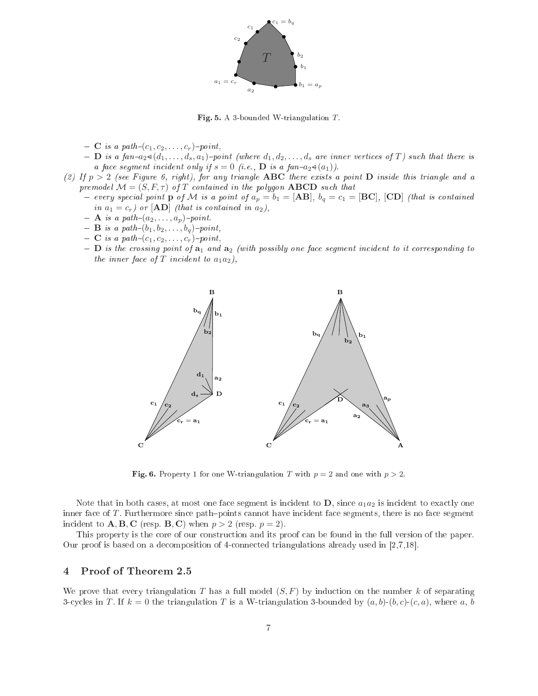

Fig. 5. A 3-bounded W-triangulation  $T$ .

- $-C$  is a path- $(c_1, c_2, \ldots, c_r)$ -point,
- $-$  **D** is a fan- $a_2 \triangleleft (d_1, \ldots, d_s, a_1)$ -point (where  $d_1, d_2, \ldots, d_s$  are inner vertices of T) such that there is a face segment incident only if  $s = 0$  (i.e., **D** is a fan- $a_2 \triangleleft (a_1)$ ).
- (2) If  $p > 2$  (see Figure 6, right), for any triangle ABC there exists a point D inside this triangle and a premodel  $\mathcal{M} = (S, F, \tau)$  of T contained in the polygon **ABCD** such that
	- every special point **p** of M is a point of  $a_p = b_1 = [\textbf{AB}]$ ,  $b_q = c_1 = [\textbf{BC}]$ ,  $[\textbf{CD}]$  (that is contained in  $a_1 = c_r$ ) or  $[AD]$  (that is contained in  $a_2$ ),
	- $-$  **A** is a path- $(a_2, \ldots, a_p)$ -point.
	- $-B$  is a path $-(b_1, b_2, \ldots, b_q)$ -point,
	- $-C$  is a path- $(c_1, c_2, \ldots, c_r)$ -point,
	- $-$  D is the crossing point of  $a_1$  and  $a_2$  (with possibly one face segment incident to it corresponding to the inner face of  $T$  incident to  $a_1a_2$ ),



**Fig. 6.** Property 1 for one W-triangulation T with  $p = 2$  and one with  $p > 2$ .

Note that in both cases, at most one face segment is incident to  $D$ , since  $a_1a_2$  is incident to exactly one inner face of T. Furthermore since path-points cannot have incident face segments, there is no face segment incident to  $\mathbf{A}, \mathbf{B}, \mathbf{C}$  (resp.  $\mathbf{B}, \mathbf{C}$ ) when  $p > 2$  (resp.  $p = 2$ ).

This property is the core of our construction and its proof can be found in the full version of the paper. Our proof is based on a decomposition of 4-connected triangulations already used in  $[2,7,18]$ .

### 4Proof of Theorem 2.5

We prove that every triangulation T has a full model  $(S, F)$  by induction on the number k of separating 3-cycles in T. If  $k = 0$  the triangulation T is a W-triangulation 3-bounded by  $(a, b)$ - $(b, c)$ - $(c, a)$ , where a, b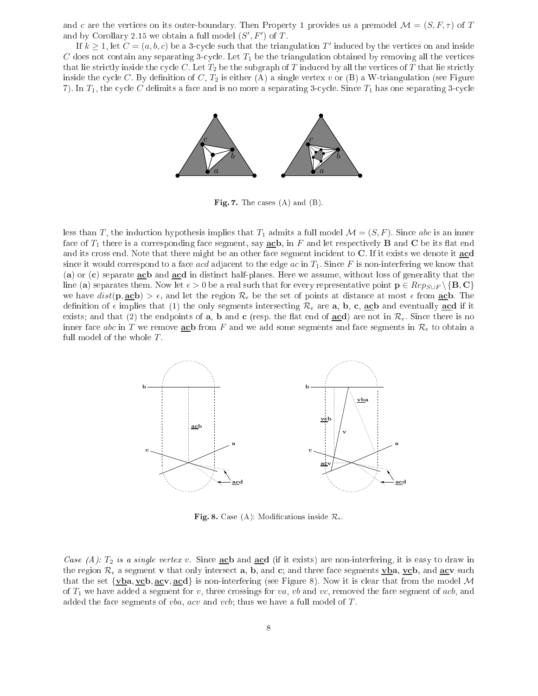and c are the vertices on its outer-boundary. Then Property 1 provides us a premodel  $\mathcal{M} = (S, F, \tau)$  of T and by Corollary 2.15 we obtain a full model  $(S', F')$  of T.

If  $k \geq 1$ , let  $C = (a, b, c)$  be a 3-cycle such that the triangulation  $T'$  induced by the vertices on and inside C does not contain any separating 3-cycle. Let  $T_1$  be the triangulation obtained by removing all the vertices that lie strictly inside the cycle C. Let  $T_2$  be the subgraph of T induced by all the vertices of T that lie strictly inside the cycle C. By definition of C,  $T_2$  is either (A) a single vertex v or (B) a W-triangulation (see Figure 7). In  $T_1$ , the cycle C delimits a face and is no more a separating 3-cycle. Since  $T_1$  has one separating 3-cycle



Fig. 7. The cases  $(A)$  and  $(B)$ .

less than T, the induction hypothesis implies that  $T_1$  admits a full model  $\mathcal{M} = (S, F)$ . Since abc is an inner face of  $T_1$  there is a corresponding face segment, say **ac**b, in F and let respectively **B** and **C** be its flat end and its cross end. Note that there might be an other face segment incident to C. If it exists we denote it acd since it would correspond to a face *acd* adjacent to the edge *ac* in  $T_1$ . Since F is non-interfering we know that (a) or (c) separate acb and acd in distinct half-planes. Here we assume, without loss of generality that the line (a) separates them. Now let  $\epsilon > 0$  be a real such that for every representative point  $p \in Rep_{S\cup F} \backslash \{B, C\}$ we have  $dist(p, \underline{acb}) > \epsilon$ , and let the region  $\mathcal{R}_{\epsilon}$  be the set of points at distance at most  $\epsilon$  from **acb**. The definition of  $\epsilon$  implies that (1) the only segments intersecting  $\mathcal{R}_{\epsilon}$  are **a**, **b**, **c**, **acb** and eventually **acd** if it exists; and that (2) the endpoints of **a**, **b** and **c** (resp. the flat end of **acd**) are not in  $\mathcal{R}_{\epsilon}$ . Since there is no inner face abc in T we remove acb from F and we add some segments and face segments in  $\mathcal{R}_{\epsilon}$  to obtain a full model of the whole  $T$ .



Fig. 8. Case (A): Modifications inside  $\mathcal{R}_{\epsilon}$ .

Case (A):  $T_2$  is a single vertex v. Since ache and acd (if it exists) are non-interfering, it is easy to draw in the region  $\mathcal{R}_{\epsilon}$  a segment v that only intersect **a**, **b**, and **c**; and three face segments  $\mathbf{v}$ **ba**,  $\mathbf{v}$ **cb**, and **<u>ac</u>v** such that the set  $\{\mathbf{v}\mathbf{b}, \mathbf{a}\mathbf{c}\mathbf{v}, \mathbf{a}\mathbf{c}\mathbf{d}\}$  is non-interfering (see Figure 8). Now it is clear that from the model M of  $T_1$  we have added a segment for v, three crossings for va, vb and vc, removed the face segment of acb, and added the face segments of  $vba$ ,  $acv$  and  $vcb$ ; thus we have a full model of  $T$ .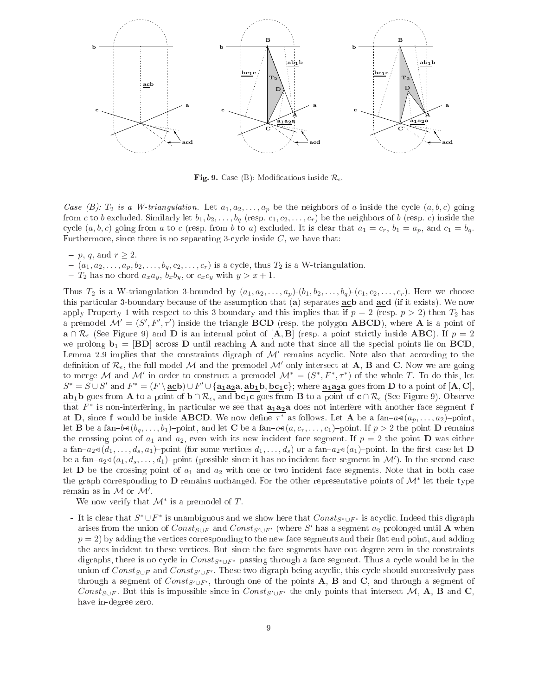

Fig. 9. Case (B): Modifications inside  $\mathcal{R}_{\epsilon}$ .

Case (B):  $T_2$  is a W-triangulation. Let  $a_1, a_2, \ldots, a_p$  be the neighbors of a inside the cycle  $(a, b, c)$  going from c to b excluded. Similarly let  $b_1, b_2, \ldots, b_q$  (resp.  $c_1, c_2, \ldots, c_r$ ) be the neighbors of b (resp. c) inside the cycle  $(a, b, c)$  going from a to c (resp. from b to a) excluded. It is clear that  $a_1 = c_r$ ,  $b_1 = a_p$ , and  $c_1 = b_q$ . Furthermore, since there is no separating 3-cycle inside  $C$ , we have that:

- $p, q, \text{ and } r \geq 2.$
- $(a_1, a_2, \ldots, a_p, b_2, \ldots, b_q, c_2, \ldots, c_r)$  is a cycle, thus  $T_2$  is a W-triangulation.
- $T_2$  has no chord  $a_x a_y$ ,  $b_x b_y$ , or  $c_x c_y$  with  $y > x + 1$ .

Thus  $T_2$  is a W-triangulation 3-bounded by  $(a_1, a_2, \ldots, a_p)(b_1, b_2, \ldots, b_q)(c_1, c_2, \ldots, c_r)$ . Here we choose this particular 3-boundary because of the assumption that (a) separates **ach** and **acd** (if it exists). We now apply Property 1 with respect to this 3-boundary and this implies that if  $p = 2$  (resp.  $p > 2$ ) then  $T_2$  has a premodel  $\mathcal{M}' = (S', F', \tau')$  inside the triangle **BCD** (resp. the polygon **ABCD**), where **A** is a point of  $\mathbf{a} \cap \mathcal{R}_{\epsilon}$  (See Figure 9) and **D** is an internal point of  $[\mathbf{A}, \mathbf{B}]$  (resp. a point strictly inside **ABC**). If  $p = 2$ we prolong  $\mathbf{b}_1 = [\mathbf{BD}]$  across **D** until reaching **A** and note that since all the special points lie on **BCD**, Lemma 2.9 implies that the constraints digraph of  $\mathcal{M}'$  remains acyclic. Note also that according to the definition of  $\mathcal{R}_{\epsilon}$ , the full model M and the premodel M' only intersect at **A**, **B** and **C**. Now we are going to merge M and M' in order to construct a premodel  $\mathcal{M}^* = (S^*, F^*, \tau^*)$  of the whole T. To do this, let  $S^* = S \cup S'$  and  $F^* = (F \setminus \underline{\textbf{ac}} \textbf{b}) \cup F' \cup \{\textbf{a}_1 \textbf{a}_2 \textbf{a}, \textbf{a} \textbf{b}_1 \textbf{b}, \textbf{b} \textbf{c}_1 \textbf{c}\};$  where  $\textbf{a}_1 \textbf{a}_2 \textbf{a}$  goes from  $\textbf{D}$  to a point of  $[\textbf{A}, \textbf{C}],$ ab<sub>1</sub>b goes from **A** to a point of  $\mathbf{b} \cap \mathcal{R}_{\epsilon}$ , and  $\mathbf{b_{c1}}$  goes from **B** to a point of  $\mathbf{c} \cap \mathcal{R}_{\epsilon}$  (See Figure 9). Observe that  $F^*$  is non-interfering, in particular we see that  $\mathbf{a}_1 \mathbf{a}_2 \mathbf{a}$  does not interfere with another face segment f at **D**, since **f** would be inside **ABCD**. We now define  $\tau^*$  as follows. Let  $\mathbf{A}$  be a fan– $a \triangleleft (a_p, \ldots, a_2)$ –point, let **B** be a fan-b≼ $(b_q, \ldots, b_1)$ -point, and let **C** be a fan-c≼ $(a, c_r, \ldots, c_1)$ -point. If  $p > 2$  the point **D** remains the crossing point of  $a_1$  and  $a_2$ , even with its new incident face segment. If  $p = 2$  the point D was either a fan- $a_2 \triangleleft (d_1, \ldots, d_s, a_1)$ -point (for some vertices  $d_1, \ldots, d_s$ ) or a fan- $a_2 \triangleleft (a_1)$ -point. In the first case let **D** be a fan– $a_2\sphericalangle(a_1, d_s, \ldots, d_1)$ –point (possible since it has no incident face segment in  $\mathcal{M}'$ ). In the second case let **D** be the crossing point of  $a_1$  and  $a_2$  with one or two incident face segments. Note that in both case the graph corresponding to  ${\bf D}$  remains unchanged. For the other representative points of  ${\cal M}^*$  let their type remain as in  $\mathcal M$  or  $\mathcal M'.$ 

We now verify that  $\mathcal{M}^*$  is a premodel of T.

F<sup>\*</sup> UF<sup>\*</sup> is unambiguous and we show here that  $Const_{S^* \cup F^*}$  is acyclic. Indeed this digraph arises from the union of  $Const_{S\cup F}$  and  $Const_{S'\cup F'}$  (where S' has a segment  $a_2$  prolonged until A when  $p = 2$ ) by adding the vertices corresponding to the new face segments and their flat end point, and adding the ar
s in
ident to these verti
es. But sin
e the fa
e segments have out-degree zero in the onstraints digraphs, there is no cycle in  $Const_{S^* \cup F^*}$  passing through a face segment. Thus a cycle would be in the union of  $Const_{S\cup F}$  and  $Const_{S'\cup F'}$ . These two digraph being acyclic, this cycle should successively pass through a segment of  $Const_{S' \cup F'}$ , through one of the points A, B and C, and through a segment of Const<sub>S∪F</sub>. But this is impossible since in Const<sub>S′∪F'</sub> the only points that intersect M, A, B and C, have in-degree zero.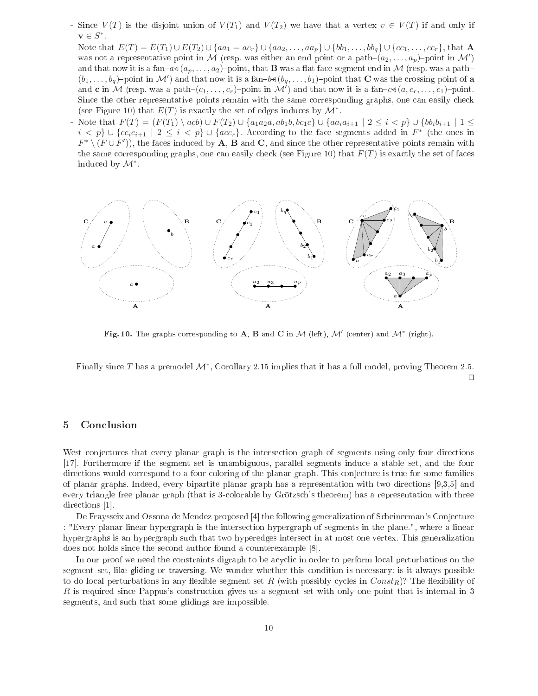- Since  $V(T)$  is the disjoint union of  $V(T_1)$  and  $V(T_2)$  we have that a vertex  $v \in V(T)$  if and only if  $\mathbf{v} \in S^*$ .
- Note that  $E(T) = E(T_1) \cup E(T_2) \cup \{aa_1 = ac_r\} \cup \{aa_2, \ldots, aa_p\} \cup \{bb_1, \ldots, bb_q\} \cup \{cc_1, \ldots, cc_r\}$ , that A was not a representative point in M (resp. was either an end point or a path- $(a_2, \ldots, a_p)$ -point in M') and that now it is a fan- $a \in (a_p, \ldots, a_2)$ -point, that **B** was a flat face segment end in M (resp. was a path- $(b_1,\ldots,b_q)$ -point in M') and that now it is a fan-b $\triangleleft (b_q,\ldots,b_1)$ -point that C was the crossing point of a and **c** in M (resp. was a path– $(c_1, \ldots, c_r)$ –point in M') and that now it is a fan– $c \triangleleft (a, c_r, \ldots, c_1)$ –point. Since the other representative points remain with the same corresponding graphs, one can easily check (see Figure 10) that  $E(T)$  is exactly the set of edges induces by  $\mathcal{M}^*$ .
- Note that  $F(T) = (F(T_1) \setminus acb) \cup F(T_2) \cup \{a_1a_2a, ab_1b, bc_1c\} \cup \{aa_ia_{i+1} \mid 2 \leq i \leq p\} \cup \{bb_ib_ib_{i+1} \mid 1 \leq j \leq p\}$  $i < p$ }  $\cup$  { $cc_i c_{i+1} \mid 2 \leq i < p$ }  $\cup$  { $acc_r$ }. According to the face segments added in  $F^*$  (the ones in  $F^* \setminus (F \cup F')$ , the faces induced by A, B and C, and since the other representative points remain with the same corresponding graphs, one can easily check (see Figure 10) that  $F(T)$  is exactly the set of faces induced by  $\mathcal{M}^*$ .



Fig. 10. The graphs corresponding to A, B and C in M (left),  $\mathcal{M}'$  (center) and  $\mathcal{M}^*$  (right).

Finally since  $T$  has a premodel  $\mathcal{M}^*,$  Corollary 2.15 implies that it has a full model, proving Theorem 2.5. ⊓⊔

### 5**Conclusion**

West conjectures that every planar graph is the intersection graph of segments using only four directions [17]. Furthermore if the segment set is unambiguous, parallel segments induce a stable set, and the four directions would correspond to a four coloring of the planar graph. This conjecture is true for some families of planar graphs. Indeed, every bipartite planar graph has a representation with two directions [9,3,5] and every triangle free planar graph (that is 3olorable by Grötzs
h's theorem) has <sup>a</sup> representation with three directions [1].

De Fraysseix and Ossona de Mendez proposed [4] the following generalization of Scheinerman's Conjecture : "Every planar linear hypergraph is the interse
tion hypergraph of segments in the plane.", where <sup>a</sup> linear hypergraphs is an hypergraph such that two hyperedges intersect in at most one vertex. This generalization does not holds since the second author found a counterexample [8].

In our proof we need the constraints digraph to be acyclic in order to perform local perturbations on the segment set, like gliding or traversing. We wonder whether this ondition is ne
essary: is it always possible to do local perturbations in any flexible segment set  $R$  (with possibly cycles in  $Const_R$ )? The flexibility of R is required since Pappus's construction gives us a segment set with only one point that is internal in 3 segments, and su
h that some glidings are impossible.